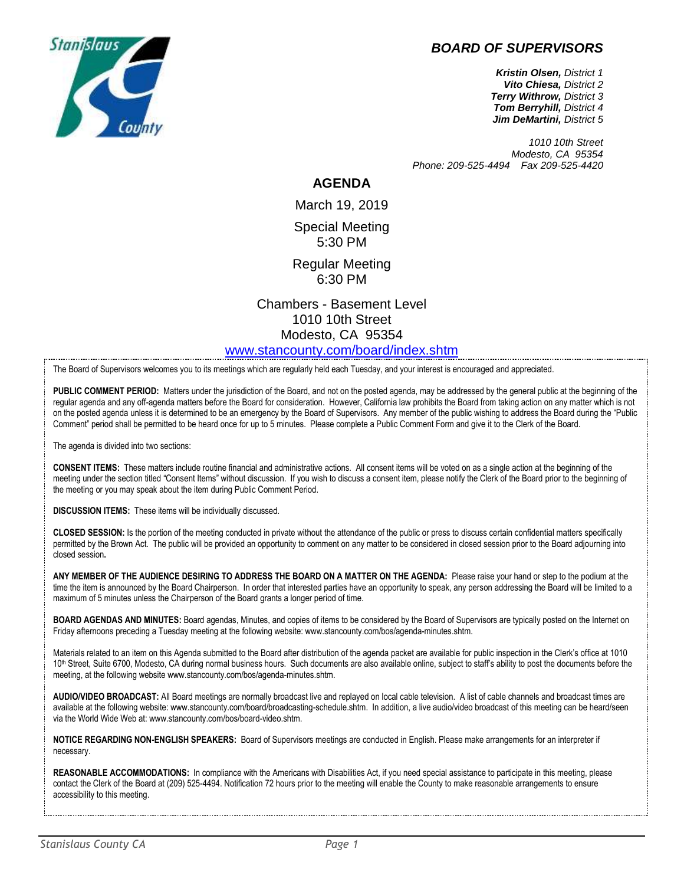



*Kristin Olsen, District 1 Vito Chiesa, District 2 Terry Withrow, District 3 Tom Berryhill, District 4 Jim DeMartini, District 5*

*1010 10th Street Modesto, CA 95354 Phone: 209-525-4494 Fax 209-525-4420*

## **AGENDA**

March 19, 2019 Special Meeting 5:30 PM

Regular Meeting 6:30 PM

Chambers - Basement Level 1010 10th Street Modesto, CA 95354 [www.stancounty.com/board/index.shtm](http://www.stancounty.com/board/index.shtm)

The Board of Supervisors welcomes you to its meetings which are regularly held each Tuesday, and your interest is encouraged and appreciated.

PUBLIC COMMENT PERIOD: Matters under the jurisdiction of the Board, and not on the posted agenda, may be addressed by the general public at the beginning of the regular agenda and any off-agenda matters before the Board for consideration. However, California law prohibits the Board from taking action on any matter which is not on the posted agenda unless it is determined to be an emergency by the Board of Supervisors. Any member of the public wishing to address the Board during the "Public Comment" period shall be permitted to be heard once for up to 5 minutes. Please complete a Public Comment Form and give it to the Clerk of the Board.

The agenda is divided into two sections:

**CONSENT ITEMS:** These matters include routine financial and administrative actions. All consent items will be voted on as a single action at the beginning of the meeting under the section titled "Consent Items" without discussion. If you wish to discuss a consent item, please notify the Clerk of the Board prior to the beginning of the meeting or you may speak about the item during Public Comment Period.

**DISCUSSION ITEMS:** These items will be individually discussed.

**CLOSED SESSION:** Is the portion of the meeting conducted in private without the attendance of the public or press to discuss certain confidential matters specifically permitted by the Brown Act. The public will be provided an opportunity to comment on any matter to be considered in closed session prior to the Board adjourning into closed session**.**

**ANY MEMBER OF THE AUDIENCE DESIRING TO ADDRESS THE BOARD ON A MATTER ON THE AGENDA:** Please raise your hand or step to the podium at the time the item is announced by the Board Chairperson. In order that interested parties have an opportunity to speak, any person addressing the Board will be limited to a maximum of 5 minutes unless the Chairperson of the Board grants a longer period of time.

**BOARD AGENDAS AND MINUTES:** Board agendas, Minutes, and copies of items to be considered by the Board of Supervisors are typically posted on the Internet on Friday afternoons preceding a Tuesday meeting at the following website: www.stancounty.com/bos/agenda-minutes.shtm.

Materials related to an item on this Agenda submitted to the Board after distribution of the agenda packet are available for public inspection in the Clerk's office at 1010 10<sup>th</sup> Street, Suite 6700, Modesto, CA during normal business hours. Such documents are also available online, subject to staff's ability to post the documents before the meeting, at the following website www.stancounty.com/bos/agenda-minutes.shtm.

**AUDIO/VIDEO BROADCAST:** All Board meetings are normally broadcast live and replayed on local cable television. A list of cable channels and broadcast times are available at the following website: www.stancounty.com/board/broadcasting-schedule.shtm. In addition, a live audio/video broadcast of this meeting can be heard/seen via the World Wide Web at: www.stancounty.com/bos/board-video.shtm.

**NOTICE REGARDING NON-ENGLISH SPEAKERS:** Board of Supervisors meetings are conducted in English. Please make arrangements for an interpreter if necessary.

REASONABLE ACCOMMODATIONS: In compliance with the Americans with Disabilities Act, if you need special assistance to participate in this meeting, please contact the Clerk of the Board at (209) 525-4494. Notification 72 hours prior to the meeting will enable the County to make reasonable arrangements to ensure accessibility to this meeting.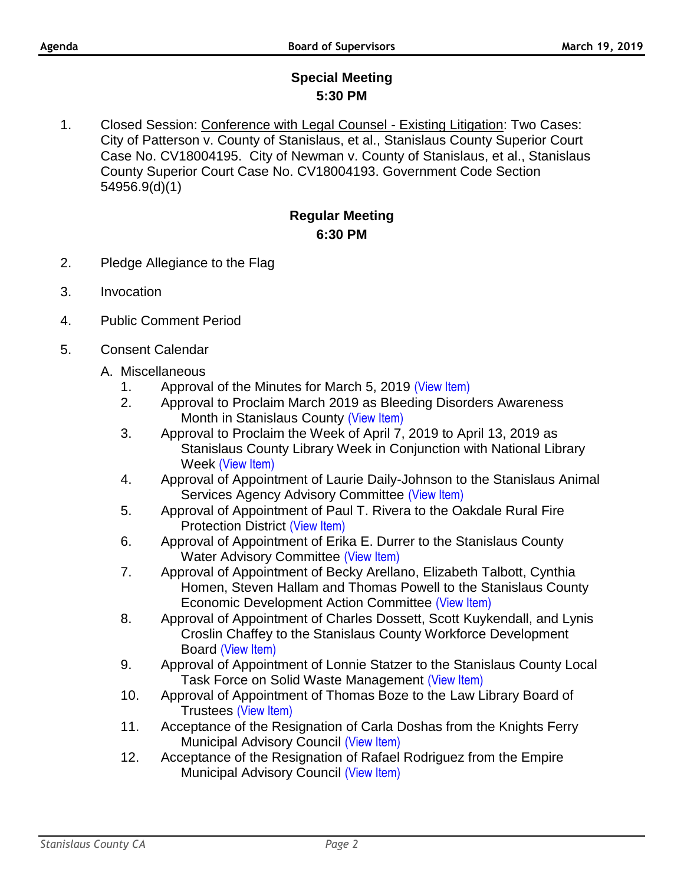## **Special Meeting 5:30 PM**

1. Closed Session: Conference with Legal Counsel - Existing Litigation: Two Cases: City of Patterson v. County of Stanislaus, et al., Stanislaus County Superior Court Case No. CV18004195. City of Newman v. County of Stanislaus, et al., Stanislaus County Superior Court Case No. CV18004193. Government Code Section 54956.9(d)(1)

## **Regular Meeting 6:30 PM**

- 2. Pledge Allegiance to the Flag
- 3. Invocation
- 4. Public Comment Period
- 5. Consent Calendar
	- A. Miscellaneous
		- 1. Approval of the Minutes for March 5, 2019 [\(View Item\)](http://stancounty.com/bos/minutes/2019/min03-05-19.pdf)
		- 2. Approval to Proclaim March 2019 as Bleeding Disorders Awareness Month in Stanislaus County [\(View Item\)](http://stancounty.com/bos/agenda/2019/20190319/A02.pdf)
		- 3. Approval to Proclaim the Week of April 7, 2019 to April 13, 2019 as Stanislaus County Library Week in Conjunction with National Library Week [\(View Item\)](http://stancounty.com/bos/agenda/2019/20190319/A03.pdf)
		- 4. Approval of Appointment of Laurie Daily-Johnson to the Stanislaus Animal Services Agency Advisory Committee [\(View Item\)](http://stancounty.com/bos/agenda/2019/20190319/A04.pdf)
		- 5. Approval of Appointment of Paul T. Rivera to the Oakdale Rural Fire Protection District [\(View Item\)](http://stancounty.com/bos/agenda/2019/20190319/A05.pdf)
		- 6. Approval of Appointment of Erika E. Durrer to the Stanislaus County Water Advisory Committee [\(View Item\)](http://stancounty.com/bos/agenda/2019/20190319/A06.pdf)
		- 7. Approval of Appointment of Becky Arellano, Elizabeth Talbott, Cynthia Homen, Steven Hallam and Thomas Powell to the Stanislaus County Economic Development Action Committee [\(View Item\)](http://stancounty.com/bos/agenda/2019/20190319/A07.pdf)
		- 8. Approval of Appointment of Charles Dossett, Scott Kuykendall, and Lynis Croslin Chaffey to the Stanislaus County Workforce Development Board [\(View Item\)](http://stancounty.com/bos/agenda/2019/20190319/A08.pdf)
		- 9. Approval of Appointment of Lonnie Statzer to the Stanislaus County Local Task Force on Solid Waste Management [\(View Item\)](http://stancounty.com/bos/agenda/2019/20190319/A09.pdf)
		- 10. Approval of Appointment of Thomas Boze to the Law Library Board of Trustees [\(View Item\)](http://stancounty.com/bos/agenda/2019/20190319/A10.pdf)
		- 11. Acceptance of the Resignation of Carla Doshas from the Knights Ferry Municipal Advisory Council [\(View Item\)](http://stancounty.com/bos/agenda/2019/20190319/A11.pdf)
		- 12. Acceptance of the Resignation of Rafael Rodriguez from the Empire Municipal Advisory Council [\(View Item\)](http://stancounty.com/bos/agenda/2019/20190319/A12.pdf)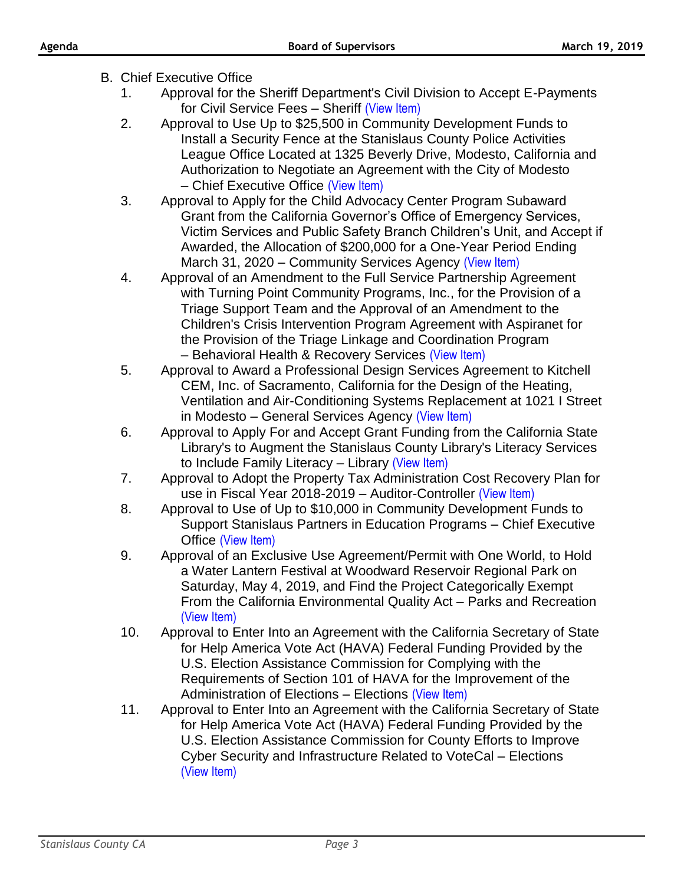- B. Chief Executive Office
	- 1. Approval for the Sheriff Department's Civil Division to Accept E-Payments for Civil Service Fees - Sheriff [\(View Item\)](http://stancounty.com/bos/agenda/2019/20190319/B01.pdf)
	- 2. Approval to Use Up to \$25,500 in Community Development Funds to Install a Security Fence at the Stanislaus County Police Activities League Office Located at 1325 Beverly Drive, Modesto, California and Authorization to Negotiate an Agreement with the City of Modesto – Chief Executive Office [\(View Item\)](http://stancounty.com/bos/agenda/2019/20190319/B02.pdf)
	- 3. Approval to Apply for the Child Advocacy Center Program Subaward Grant from the California Governor's Office of Emergency Services, Victim Services and Public Safety Branch Children's Unit, and Accept if Awarded, the Allocation of \$200,000 for a One-Year Period Ending March 31, 2020 – Community Services Agency [\(View Item\)](http://stancounty.com/bos/agenda/2019/20190319/B03.pdf)
	- 4. Approval of an Amendment to the Full Service Partnership Agreement with Turning Point Community Programs, Inc., for the Provision of a Triage Support Team and the Approval of an Amendment to the Children's Crisis Intervention Program Agreement with Aspiranet for the Provision of the Triage Linkage and Coordination Program – Behavioral Health & Recovery Services [\(View Item\)](http://stancounty.com/bos/agenda/2019/20190319/B04.pdf)
	- 5. Approval to Award a Professional Design Services Agreement to Kitchell CEM, Inc. of Sacramento, California for the Design of the Heating, Ventilation and Air-Conditioning Systems Replacement at 1021 I Street in Modesto – General Services Agency [\(View Item\)](http://stancounty.com/bos/agenda/2019/20190319/B05.pdf)
	- 6. Approval to Apply For and Accept Grant Funding from the California State Library's to Augment the Stanislaus County Library's Literacy Services to Include Family Literacy - Library [\(View Item\)](http://stancounty.com/bos/agenda/2019/20190319/B06.pdf)
	- 7. Approval to Adopt the Property Tax Administration Cost Recovery Plan for use in Fiscal Year 2018-2019 – Auditor-Controller [\(View Item\)](http://stancounty.com/bos/agenda/2019/20190319/B07.pdf)
	- 8. Approval to Use of Up to \$10,000 in Community Development Funds to Support Stanislaus Partners in Education Programs – Chief Executive Office [\(View Item\)](http://stancounty.com/bos/agenda/2019/20190319/B08.pdf)
	- 9. Approval of an Exclusive Use Agreement/Permit with One World, to Hold a Water Lantern Festival at Woodward Reservoir Regional Park on Saturday, May 4, 2019, and Find the Project Categorically Exempt From the California Environmental Quality Act – Parks and Recreation [\(View Item\)](http://stancounty.com/bos/agenda/2019/20190319/B09.pdf)
	- 10. Approval to Enter Into an Agreement with the California Secretary of State for Help America Vote Act (HAVA) Federal Funding Provided by the U.S. Election Assistance Commission for Complying with the Requirements of Section 101 of HAVA for the Improvement of the Administration of Elections – Elections [\(View Item\)](http://stancounty.com/bos/agenda/2019/20190319/B10.pdf)
	- 11. Approval to Enter Into an Agreement with the California Secretary of State for Help America Vote Act (HAVA) Federal Funding Provided by the U.S. Election Assistance Commission for County Efforts to Improve Cyber Security and Infrastructure Related to VoteCal – Elections [\(View Item\)](http://stancounty.com/bos/agenda/2019/20190319/B11.pdf)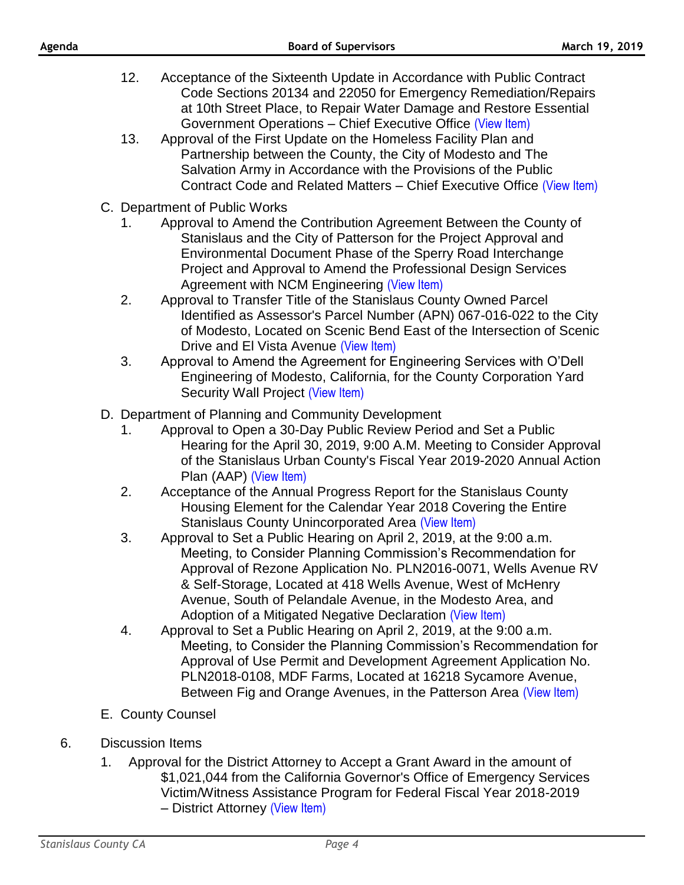- 12. Acceptance of the Sixteenth Update in Accordance with Public Contract Code Sections 20134 and 22050 for Emergency Remediation/Repairs at 10th Street Place, to Repair Water Damage and Restore Essential Government Operations – Chief Executive Office [\(View Item\)](http://stancounty.com/bos/agenda/2019/20190319/B12.pdf)
- 13. Approval of the First Update on the Homeless Facility Plan and Partnership between the County, the City of Modesto and The Salvation Army in Accordance with the Provisions of the Public Contract Code and Related Matters – Chief Executive Office [\(View Item\)](http://stancounty.com/bos/agenda/2019/20190319/B13.pdf)
- C. Department of Public Works
	- 1. Approval to Amend the Contribution Agreement Between the County of Stanislaus and the City of Patterson for the Project Approval and Environmental Document Phase of the Sperry Road Interchange Project and Approval to Amend the Professional Design Services Agreement with NCM Engineering [\(View Item\)](http://stancounty.com/bos/agenda/2019/20190319/C01.pdf)
	- 2. Approval to Transfer Title of the Stanislaus County Owned Parcel Identified as Assessor's Parcel Number (APN) 067-016-022 to the City of Modesto, Located on Scenic Bend East of the Intersection of Scenic Drive and El Vista Avenue [\(View Item\)](http://stancounty.com/bos/agenda/2019/20190319/C02.pdf)
	- 3. Approval to Amend the Agreement for Engineering Services with O'Dell Engineering of Modesto, California, for the County Corporation Yard Security Wall Project [\(View Item\)](http://stancounty.com/bos/agenda/2019/20190319/C03.pdf)
- D. Department of Planning and Community Development
	- 1. Approval to Open a 30-Day Public Review Period and Set a Public Hearing for the April 30, 2019, 9:00 A.M. Meeting to Consider Approval of the Stanislaus Urban County's Fiscal Year 2019-2020 Annual Action Plan (AAP) [\(View Item\)](http://stancounty.com/bos/agenda/2019/20190319/D01.pdf)
	- 2. Acceptance of the Annual Progress Report for the Stanislaus County Housing Element for the Calendar Year 2018 Covering the Entire Stanislaus County Unincorporated Area [\(View Item\)](http://stancounty.com/bos/agenda/2019/20190319/D02.pdf)
	- 3. Approval to Set a Public Hearing on April 2, 2019, at the 9:00 a.m. Meeting, to Consider Planning Commission's Recommendation for Approval of Rezone Application No. PLN2016-0071, Wells Avenue RV & Self-Storage, Located at 418 Wells Avenue, West of McHenry Avenue, South of Pelandale Avenue, in the Modesto Area, and Adoption of a Mitigated Negative Declaration [\(View Item\)](http://stancounty.com/bos/agenda/2019/20190319/D03.pdf)
	- 4. Approval to Set a Public Hearing on April 2, 2019, at the 9:00 a.m. Meeting, to Consider the Planning Commission's Recommendation for Approval of Use Permit and Development Agreement Application No. PLN2018-0108, MDF Farms, Located at 16218 Sycamore Avenue, Between Fig and Orange Avenues, in the Patterson Area [\(View Item\)](http://stancounty.com/bos/agenda/2019/20190319/D04.pdf)
- E. County Counsel
- 6. Discussion Items
	- 1. Approval for the District Attorney to Accept a Grant Award in the amount of \$1,021,044 from the California Governor's Office of Emergency Services Victim/Witness Assistance Program for Federal Fiscal Year 2018-2019 – District Attorney [\(View Item\)](http://stancounty.com/bos/agenda/2019/20190319/DIS01.pdf)